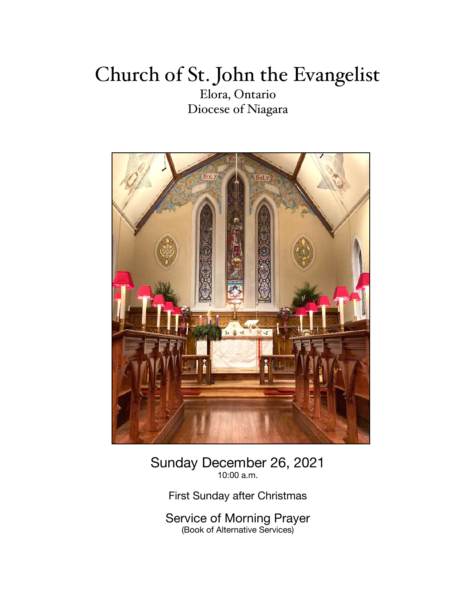# Church of St. John the Evangelist Elora, Ontario Diocese of Niagara



Sunday December 26, 2021 10:00 a.m.

First Sunday after Christmas

Service of Morning Prayer (Book of Alternative Services)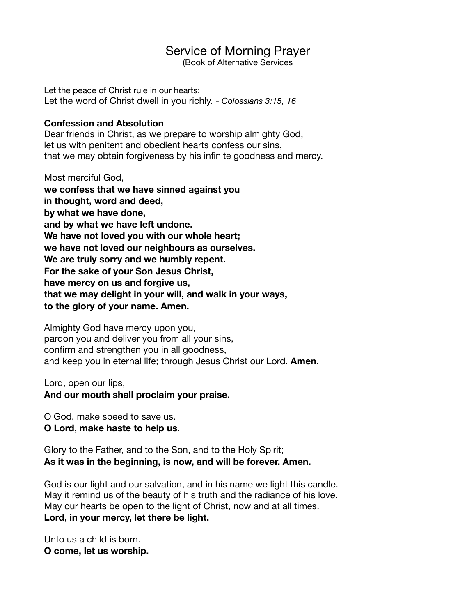## Service of Morning Prayer

(Book of Alternative Services

Let the peace of Christ rule in our hearts; Let the word of Christ dwell in you richly. - *Colossians 3:15, 16*

#### **Confession and Absolution**

Dear friends in Christ, as we prepare to worship almighty God, let us with penitent and obedient hearts confess our sins, that we may obtain forgiveness by his infinite goodness and mercy.

Most merciful God,

**we confess that we have sinned against you in thought, word and deed, by what we have done, and by what we have left undone. We have not loved you with our whole heart; we have not loved our neighbours as ourselves. We are truly sorry and we humbly repent. For the sake of your Son Jesus Christ, have mercy on us and forgive us, that we may delight in your will, and walk in your ways, to the glory of your name. Amen.** 

Almighty God have mercy upon you, pardon you and deliver you from all your sins, confirm and strengthen you in all goodness, and keep you in eternal life; through Jesus Christ our Lord. **Amen**.

Lord, open our lips, **And our mouth shall proclaim your praise.** 

O God, make speed to save us.

**O Lord, make haste to help us**.

Glory to the Father, and to the Son, and to the Holy Spirit; **As it was in the beginning, is now, and will be forever. Amen.** 

God is our light and our salvation, and in his name we light this candle. May it remind us of the beauty of his truth and the radiance of his love. May our hearts be open to the light of Christ, now and at all times. **Lord, in your mercy, let there be light.** 

Unto us a child is born. **O come, let us worship.**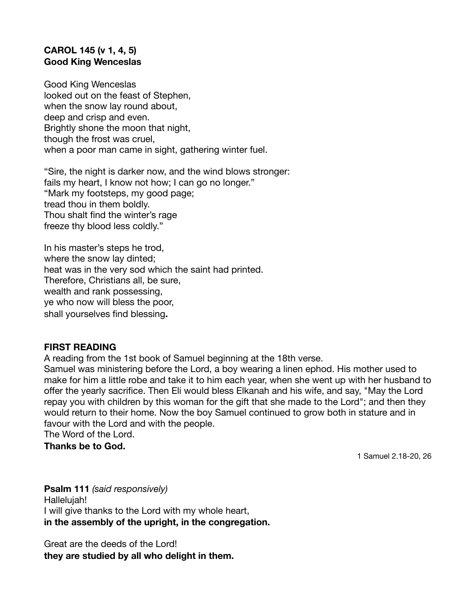#### **CAROL 145 (v 1, 4, 5) Good King Wenceslas**

Good King Wenceslas looked out on the feast of Stephen, when the snow lay round about, deep and crisp and even. Brightly shone the moon that night, though the frost was cruel, when a poor man came in sight, gathering winter fuel.

"Sire, the night is darker now, and the wind blows stronger: fails my heart, I know not how; I can go no longer." "Mark my footsteps, my good page; tread thou in them boldly. Thou shalt find the winter's rage freeze thy blood less coldly."

In his master's steps he trod, where the snow lay dinted; heat was in the very sod which the saint had printed. Therefore, Christians all, be sure, wealth and rank possessing, ye who now will bless the poor, shall yourselves find blessing**.** 

#### **FIRST READING**

A reading from the 1st book of Samuel beginning at the 18th verse.

Samuel was ministering before the Lord, a boy wearing a linen ephod. His mother used to make for him a little robe and take it to him each year, when she went up with her husband to offer the yearly sacrifice. Then Eli would bless Elkanah and his wife, and say, "May the Lord repay you with children by this woman for the gift that she made to the Lord"; and then they would return to their home. Now the boy Samuel continued to grow both in stature and in favour with the Lord and with the people.

The Word of the Lord.

#### **Thanks be to God.**

1 Samuel 2.18-20, 26

**Psalm 111** *(said responsively)*  Hallelujah! I will give thanks to the Lord with my whole heart, **in the assembly of the upright, in the congregation.** 

Great are the deeds of the Lord! **they are studied by all who delight in them.**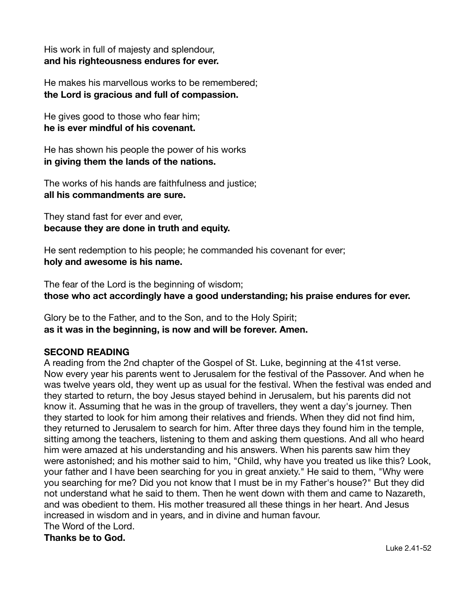His work in full of majesty and splendour, **and his righteousness endures for ever.** 

He makes his marvellous works to be remembered; **the Lord is gracious and full of compassion.** 

He gives good to those who fear him; **he is ever mindful of his covenant.** 

He has shown his people the power of his works **in giving them the lands of the nations.** 

The works of his hands are faithfulness and justice; **all his commandments are sure.** 

They stand fast for ever and ever, **because they are done in truth and equity.** 

He sent redemption to his people; he commanded his covenant for ever; **holy and awesome is his name.** 

The fear of the Lord is the beginning of wisdom; **those who act accordingly have a good understanding; his praise endures for ever.** 

Glory be to the Father, and to the Son, and to the Holy Spirit; **as it was in the beginning, is now and will be forever. Amen.** 

#### **SECOND READING**

A reading from the 2nd chapter of the Gospel of St. Luke, beginning at the 41st verse. Now every year his parents went to Jerusalem for the festival of the Passover. And when he was twelve years old, they went up as usual for the festival. When the festival was ended and they started to return, the boy Jesus stayed behind in Jerusalem, but his parents did not know it. Assuming that he was in the group of travellers, they went a day's journey. Then they started to look for him among their relatives and friends. When they did not find him, they returned to Jerusalem to search for him. After three days they found him in the temple, sitting among the teachers, listening to them and asking them questions. And all who heard him were amazed at his understanding and his answers. When his parents saw him they were astonished; and his mother said to him, "Child, why have you treated us like this? Look, your father and I have been searching for you in great anxiety." He said to them, "Why were you searching for me? Did you not know that I must be in my Father's house?" But they did not understand what he said to them. Then he went down with them and came to Nazareth, and was obedient to them. His mother treasured all these things in her heart. And Jesus increased in wisdom and in years, and in divine and human favour. The Word of the Lord.

**Thanks be to God.**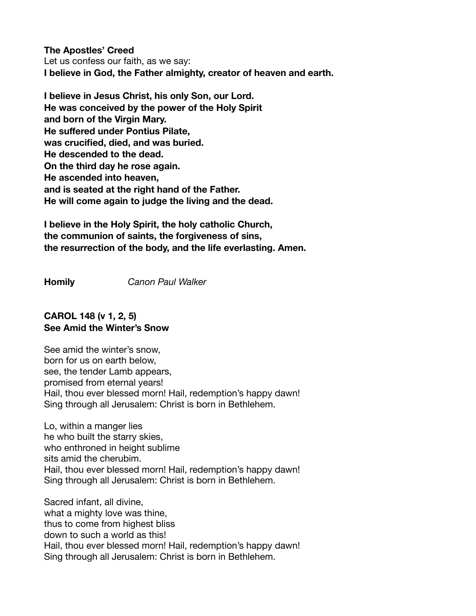**The Apostles' Creed**  Let us confess our faith, as we say: **I believe in God, the Father almighty, creator of heaven and earth.** 

**I believe in Jesus Christ, his only Son, our Lord. He was conceived by the power of the Holy Spirit and born of the Virgin Mary. He suffered under Pontius Pilate, was crucified, died, and was buried. He descended to the dead. On the third day he rose again. He ascended into heaven, and is seated at the right hand of the Father. He will come again to judge the living and the dead.** 

**I believe in the Holy Spirit, the holy catholic Church, the communion of saints, the forgiveness of sins, the resurrection of the body, and the life everlasting. Amen.** 

**Homily** *Canon Paul Walker*

#### **CAROL 148 (v 1, 2, 5) See Amid the Winter's Snow**

See amid the winter's snow, born for us on earth below, see, the tender Lamb appears, promised from eternal years! Hail, thou ever blessed morn! Hail, redemption's happy dawn! Sing through all Jerusalem: Christ is born in Bethlehem.

Lo, within a manger lies he who built the starry skies, who enthroned in height sublime sits amid the cherubim. Hail, thou ever blessed morn! Hail, redemption's happy dawn! Sing through all Jerusalem: Christ is born in Bethlehem.

Sacred infant, all divine, what a mighty love was thine, thus to come from highest bliss down to such a world as this! Hail, thou ever blessed morn! Hail, redemption's happy dawn! Sing through all Jerusalem: Christ is born in Bethlehem.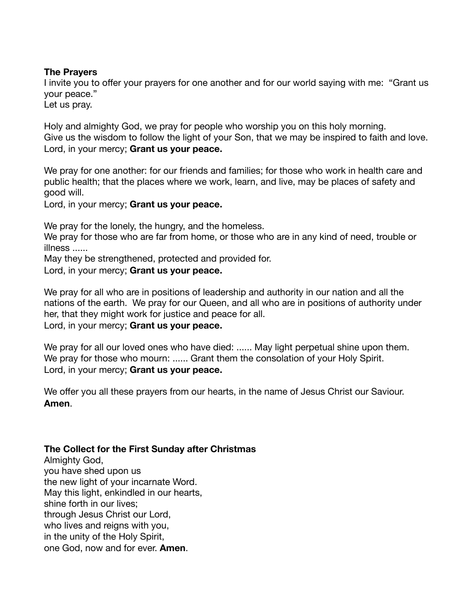#### **The Prayers**

I invite you to offer your prayers for one another and for our world saying with me: "Grant us your peace."

Let us pray.

Holy and almighty God, we pray for people who worship you on this holy morning. Give us the wisdom to follow the light of your Son, that we may be inspired to faith and love. Lord, in your mercy; **Grant us your peace.** 

We pray for one another: for our friends and families; for those who work in health care and public health; that the places where we work, learn, and live, may be places of safety and good will.

Lord, in your mercy; **Grant us your peace.** 

We pray for the lonely, the hungry, and the homeless.

We pray for those who are far from home, or those who are in any kind of need, trouble or illness ......

May they be strengthened, protected and provided for.

Lord, in your mercy; **Grant us your peace.** 

We pray for all who are in positions of leadership and authority in our nation and all the nations of the earth. We pray for our Queen, and all who are in positions of authority under her, that they might work for justice and peace for all.

Lord, in your mercy; **Grant us your peace.** 

We pray for all our loved ones who have died: ...... May light perpetual shine upon them. We pray for those who mourn: ...... Grant them the consolation of your Holy Spirit. Lord, in your mercy; **Grant us your peace.** 

We offer you all these prayers from our hearts, in the name of Jesus Christ our Saviour. **Amen**.

#### **The Collect for the First Sunday after Christmas**

Almighty God, you have shed upon us the new light of your incarnate Word. May this light, enkindled in our hearts, shine forth in our lives; through Jesus Christ our Lord, who lives and reigns with you, in the unity of the Holy Spirit, one God, now and for ever. **Amen**.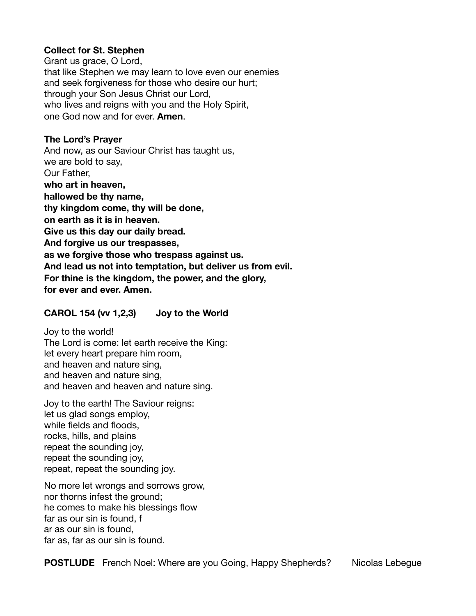#### **Collect for St. Stephen**

Grant us grace, O Lord, that like Stephen we may learn to love even our enemies and seek forgiveness for those who desire our hurt; through your Son Jesus Christ our Lord, who lives and reigns with you and the Holy Spirit, one God now and for ever. **Amen**.

#### **The Lord's Prayer**

And now, as our Saviour Christ has taught us, we are bold to say, Our Father, **who art in heaven, hallowed be thy name, thy kingdom come, thy will be done, on earth as it is in heaven. Give us this day our daily bread. And forgive us our trespasses, as we forgive those who trespass against us. And lead us not into temptation, but deliver us from evil. For thine is the kingdom, the power, and the glory, for ever and ever. Amen.** 

#### **CAROL 154 (vv 1,2,3) Joy to the World**

Joy to the world! The Lord is come: let earth receive the King: let every heart prepare him room, and heaven and nature sing, and heaven and nature sing, and heaven and heaven and nature sing.

Joy to the earth! The Saviour reigns: let us glad songs employ, while fields and floods, rocks, hills, and plains repeat the sounding joy, repeat the sounding joy, repeat, repeat the sounding joy.

No more let wrongs and sorrows grow, nor thorns infest the ground; he comes to make his blessings flow far as our sin is found, f ar as our sin is found, far as, far as our sin is found.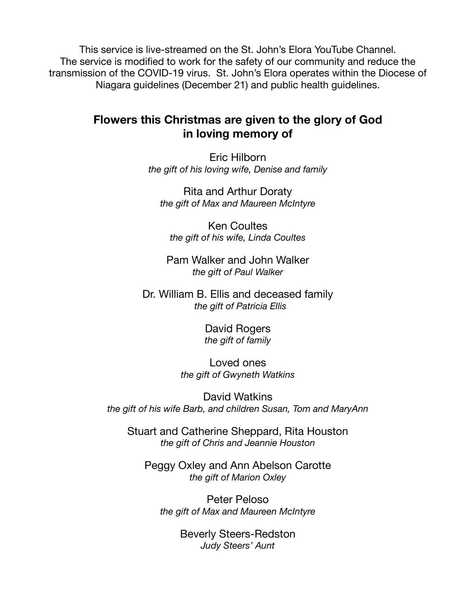This service is live-streamed on the St. John's Elora YouTube Channel. The service is modified to work for the safety of our community and reduce the transmission of the COVID-19 virus. St. John's Elora operates within the Diocese of Niagara guidelines (December 21) and public health guidelines.

### **Flowers this Christmas are given to the glory of God in loving memory of**

Eric Hilborn *the gift of his loving wife, Denise and family* 

Rita and Arthur Doraty *the gift of Max and Maureen McIntyre* 

Ken Coultes *the gift of his wife, Linda Coultes* 

Pam Walker and John Walker *the gift of Paul Walker* 

Dr. William B. Ellis and deceased family  *the gift of Patricia Ellis* 

> David Rogers *the gift of family*

Loved ones *the gift of Gwyneth Watkins* 

David Watkins *the gift of his wife Barb, and children Susan, Tom and MaryAnn* 

Stuart and Catherine Sheppard, Rita Houston *the gift of Chris and Jeannie Houston* 

Peggy Oxley and Ann Abelson Carotte *the gift of Marion Oxley* 

Peter Peloso *the gift of Max and Maureen McIntyre* 

> Beverly Steers-Redston *Judy Steers' Aunt*